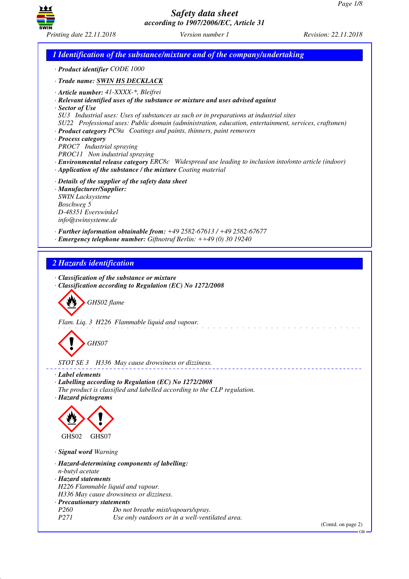

*1 Identification of the substance/mixture and of the company/undertaking · Product identifier CODE 1000 · Trade name: SWIN HS DECKLACK · Article number: 41-XXXX-\*, Bleifrei · Relevant identified uses of the substance or mixture and uses advised against · Sector of Use SU3 Industrial uses: Uses of substances as such or in preparations at industrial sites SU22 Professional uses: Public domain (administration, education, entertainment, services, craftsmen) · Product category PC9a Coatings and paints, thinners, paint removers · Process category PROC7 Industrial spraying PROC11 Non industrial spraying · Environmental release category ERC8c Widespread use leading to inclusion into/onto article (indoor) · Application of the substance / the mixture Coating material · Details of the supplier of the safety data sheet · Manufacturer/Supplier: SWIN Lacksysteme Boschweg 5 D-48351 Everswinkel info@swinsysteme.de · Further information obtainable from: +49 2582-67613 / +49 2582-67677 · Emergency telephone number: Giftnotruf Berlin: ++49 (0) 30 19240 2 Hazards identification · Classification of the substance or mixture · Classification according to Regulation (EC) No 1272/2008* d~*GHS02 flame Flam. Liq. 3 H226 Flammable liquid and vapour.* d~*GHS07 STOT SE 3 H336 May cause drowsiness or dizziness. · Label elements · Labelling according to Regulation (EC) No 1272/2008 The product is classified and labelled according to the CLP regulation. · Hazard pictograms* < GHS02  $\langle \cdot \rangle$ GHS07 *· Signal word Warning · Hazard-determining components of labelling: n-butyl acetate · Hazard statements H226 Flammable liquid and vapour. H336 May cause drowsiness or dizziness. · Precautionary statements Po not breathe mist/vapours/spray. P271 Use only outdoors or in a well-ventilated area.* (Contd. on page 2)

GB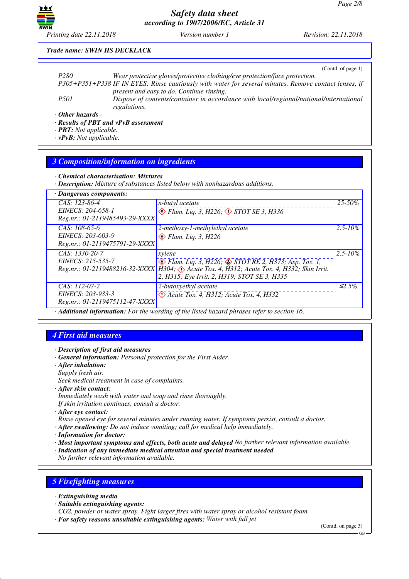

#### *Trade name: SWIN HS DECKLACK*

|                         | (Contd. of page 1)                                                                                     |
|-------------------------|--------------------------------------------------------------------------------------------------------|
| P <sub>280</sub>        | Wear protective gloves/protective clothing/eye protection/face protection.                             |
|                         | P305+P351+P338 IF IN EYES: Rinse cautiously with water for several minutes. Remove contact lenses, if  |
|                         | present and easy to do. Continue rinsing.                                                              |
| <i>P501</i>             | Dispose of contents/container in accordance with local/regional/national/international<br>regulations. |
| $\cdot$ Other hazards - |                                                                                                        |

*· Results of PBT and vPvB assessment*

*· PBT: Not applicable.*

*· vPvB: Not applicable.*

### *3 Composition/information on ingredients*

*· Chemical characterisation: Mixtures*

*· Description: Mixture of substances listed below with nonhazardous additions.*

| · Dangerous components:        |                                                                                           |              |
|--------------------------------|-------------------------------------------------------------------------------------------|--------------|
| $CAS: 123-86-4$                | <i>n-butyl acetate</i>                                                                    | $25 - 50\%$  |
| EINECS: 204-658-1              | $\circledcirc$ Flam. Liq. 3, H226, $\circledcirc$ STOT SE 3, H336                         |              |
| Reg.nr.: 01-2119485493-29-XXXX |                                                                                           |              |
| $CAS: 108-65-6$                | 2-methoxy-1-methylethyl acetate                                                           | $2.5 - 10\%$ |
| EINECS: 203-603-9              | $\otimes$ Flam. Liq. 3, H226                                                              |              |
| Reg.nr.: 01-2119475791-29-XXXX |                                                                                           |              |
| $CAS: 1330-20-7$               | xylene                                                                                    | $2.5 - 10\%$ |
| EINECS: 215-535-7              | $\circledast$ Flam. Liq. 3, H226; $\circledast$ STOT RE 2, H373; Asp. Tox. 1,             |              |
|                                | Reg.nr.: 01-2119488216-32-XXXX H304; Acute Tox. 4, H312; Acute Tox. 4, H332; Skin Irrit.  |              |
|                                | 2, H315; Eye Irrit. 2, H319; STOT SE 3, H335                                              |              |
| $CAS: 112-07-2$                | 2-butoxyethyl acetate                                                                     | $\leq 2.5\%$ |
| EINECS: 203-933-3              | $\langle \cdot \rangle$ Acute Tox. 4, H312; Acute Tox. 4, H332                            |              |
| Reg.nr.: 01-2119475112-47-XXXX |                                                                                           |              |
|                                | Additional information: For the wording of the listed hazard phrases refer to section 16. |              |

# *4 First aid measures*

- *· Description of first aid measures*
- *· General information: Personal protection for the First Aider.*
- *· After inhalation: Supply fresh air. Seek medical treatment in case of complaints.*
- *· After skin contact:*
- *Immediately wash with water and soap and rinse thoroughly. If skin irritation continues, consult a doctor.*
- *· After eye contact:*
- *Rinse opened eye for several minutes under running water. If symptoms persist, consult a doctor.*
- *· After swallowing: Do not induce vomiting; call for medical help immediately.*
- *· Information for doctor:*
- *· Most important symptoms and effects, both acute and delayed No further relevant information available.*
- *· Indication of any immediate medical attention and special treatment needed*

*No further relevant information available.*

# *5 Firefighting measures*

- *· Extinguishing media*
- *· Suitable extinguishing agents:*

*CO2, powder or water spray. Fight larger fires with water spray or alcohol resistant foam.*

*· For safety reasons unsuitable extinguishing agents: Water with full jet*

(Contd. on page 3)

GB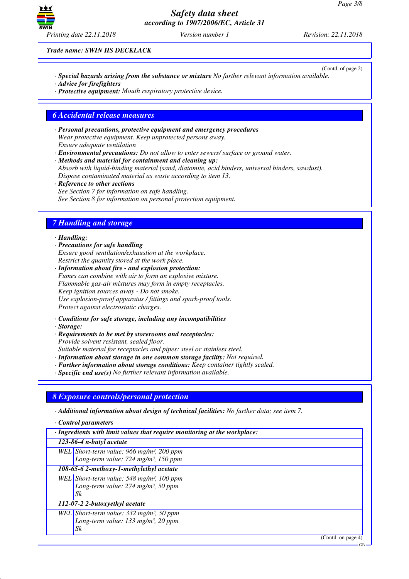

(Contd. of page 2)

*Trade name: SWIN HS DECKLACK*

- *· Special hazards arising from the substance or mixture No further relevant information available.*
- *· Advice for firefighters*
- *· Protective equipment: Mouth respiratory protective device.*

#### *6 Accidental release measures*

*· Personal precautions, protective equipment and emergency procedures Wear protective equipment. Keep unprotected persons away. Ensure adequate ventilation*

*· Environmental precautions: Do not allow to enter sewers/ surface or ground water.*

*· Methods and material for containment and cleaning up: Absorb with liquid-binding material (sand, diatomite, acid binders, universal binders, sawdust). Dispose contaminated material as waste according to item 13.*

*· Reference to other sections See Section 7 for information on safe handling. See Section 8 for information on personal protection equipment.*

# *7 Handling and storage*

#### *· Handling:*

- *· Precautions for safe handling Ensure good ventilation/exhaustion at the workplace. Restrict the quantity stored at the work place.*
- *· Information about fire and explosion protection: Fumes can combine with air to form an explosive mixture. Flammable gas-air mixtures may form in empty receptacles. Keep ignition sources away - Do not smoke. Use explosion-proof apparatus / fittings and spark-proof tools. Protect against electrostatic charges.*
- *· Conditions for safe storage, including any incompatibilities*
- *· Storage:*
- *· Requirements to be met by storerooms and receptacles: Provide solvent resistant, sealed floor.*
- *Suitable material for receptacles and pipes: steel or stainless steel.*
- *· Information about storage in one common storage facility: Not required.*
- *· Further information about storage conditions: Keep container tightly sealed.*
- *· Specific end use(s) No further relevant information available.*

### *8 Exposure controls/personal protection*

*· Additional information about design of technical facilities: No further data; see item 7.*

- *· Control parameters*
- *· Ingredients with limit values that require monitoring at the workplace:*

#### *123-86-4 n-butyl acetate*

*WEL Short-term value: 966 mg/m³, 200 ppm Long-term value: 724 mg/m³, 150 ppm*

*108-65-6 2-methoxy-1-methylethyl acetate WEL Short-term value: 548 mg/m³, 100 ppm*

*Long-term value: 274 mg/m³, 50 ppm Sk*

#### *112-07-2 2-butoxyethyl acetate*

*WEL Short-term value: 332 mg/m³, 50 ppm Long-term value: 133 mg/m³, 20 ppm Sk*

(Contd. on page 4)

GB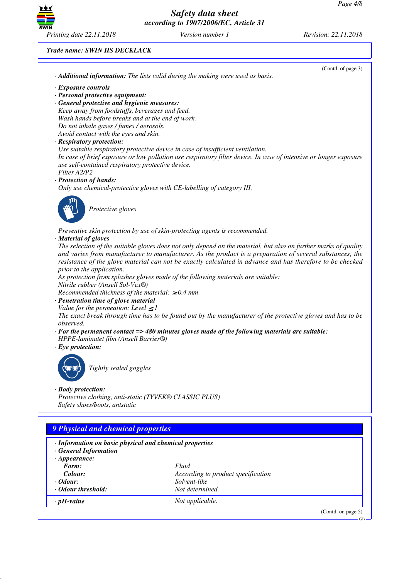

#### *Trade name: SWIN HS DECKLACK*

|                                                                                  |                                                                                                                   | (Contd. of page 3) |
|----------------------------------------------------------------------------------|-------------------------------------------------------------------------------------------------------------------|--------------------|
|                                                                                  | · Additional information: The lists valid during the making were used as basis.                                   |                    |
| · Exposure controls                                                              |                                                                                                                   |                    |
| · Personal protective equipment:                                                 |                                                                                                                   |                    |
| · General protective and hygienic measures:                                      |                                                                                                                   |                    |
| Keep away from foodstuffs, beverages and feed.                                   |                                                                                                                   |                    |
| Wash hands before breaks and at the end of work.                                 |                                                                                                                   |                    |
| Do not inhale gases / fumes / aerosols.                                          |                                                                                                                   |                    |
| Avoid contact with the eyes and skin.                                            |                                                                                                                   |                    |
| · Respiratory protection:                                                        |                                                                                                                   |                    |
|                                                                                  | Use suitable respiratory protective device in case of insufficient ventilation.                                   |                    |
|                                                                                  | In case of brief exposure or low pollution use respiratory filter device. In case of intensive or longer exposure |                    |
| use self-contained respiratory protective device.                                |                                                                                                                   |                    |
| Filter A2/P2                                                                     |                                                                                                                   |                    |
| · Protection of hands:                                                           |                                                                                                                   |                    |
|                                                                                  | Only use chemical-protective gloves with CE-labelling of category III.                                            |                    |
|                                                                                  |                                                                                                                   |                    |
| Protective gloves                                                                |                                                                                                                   |                    |
|                                                                                  |                                                                                                                   |                    |
|                                                                                  | Preventive skin protection by use of skin-protecting agents is recommended.                                       |                    |
| · Material of gloves                                                             |                                                                                                                   |                    |
|                                                                                  | The selection of the suitable gloves does not only depend on the material, but also on further marks of quality   |                    |
|                                                                                  | and varies from manufacturer to manufacturer. As the product is a preparation of several substances, the          |                    |
|                                                                                  | resistance of the glove material can not be exactly calculated in advance and has therefore to be checked         |                    |
| prior to the application.                                                        |                                                                                                                   |                    |
|                                                                                  | As protection from splashes gloves made of the following materials are suitable:                                  |                    |
| Nitrile rubber (Ansell Sol-Vex®)                                                 |                                                                                                                   |                    |
| Recommended thickness of the material: $\geq 0.4$ mm                             |                                                                                                                   |                    |
| · Penetration time of glove material<br>Value for the permeation: Level $\leq$ 1 |                                                                                                                   |                    |
|                                                                                  | The exact break through time has to be found out by the manufacturer of the protective gloves and has to be       |                    |
| observed.                                                                        |                                                                                                                   |                    |
|                                                                                  | $\cdot$ For the permanent contact => 480 minutes gloves made of the following materials are suitable:             |                    |
| HPPE-laminatet film (Ansell Barrier®)                                            |                                                                                                                   |                    |
| $\cdot$ Eye protection:                                                          |                                                                                                                   |                    |
|                                                                                  |                                                                                                                   |                    |
| Tightly sealed goggles                                                           |                                                                                                                   |                    |
|                                                                                  |                                                                                                                   |                    |
|                                                                                  |                                                                                                                   |                    |
| $\cdot$ Body protection:                                                         |                                                                                                                   |                    |
| Protective clothing, anti-static (TYVEK® CLASSIC PLUS)                           |                                                                                                                   |                    |
| Safety shoes/boots, antstatic                                                    |                                                                                                                   |                    |
|                                                                                  |                                                                                                                   |                    |
| 9 Physical and chemical properties                                               |                                                                                                                   |                    |
|                                                                                  |                                                                                                                   |                    |
| · Information on basic physical and chemical properties                          |                                                                                                                   |                    |
| · General Information                                                            |                                                                                                                   |                    |
| $\cdot$ Appearance:                                                              |                                                                                                                   |                    |
| Form:                                                                            | Fluid                                                                                                             |                    |
| Colour:                                                                          | According to product specification                                                                                |                    |
| · Odour:<br>· Odour threshold:                                                   | Solvent-like                                                                                                      |                    |
|                                                                                  | Not determined.                                                                                                   |                    |
| $\cdot$ pH-value                                                                 | Not applicable.                                                                                                   |                    |
|                                                                                  |                                                                                                                   | (Contd. on page 5) |
|                                                                                  |                                                                                                                   |                    |

GB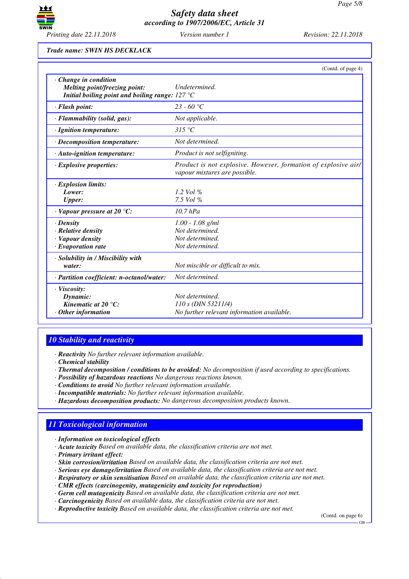

*Trade name: SWIN HS DECKLACK*

|                                                                                                                          | (Contd. of page 4)                                                                              |
|--------------------------------------------------------------------------------------------------------------------------|-------------------------------------------------------------------------------------------------|
| $\cdot$ Change in condition<br>Melting point/freezing point:<br>Initial boiling point and boiling range: $127^{\circ}$ C | Undetermined.                                                                                   |
| · Flash point:                                                                                                           | 23 - 60 °C                                                                                      |
| · Flammability (solid, gas):                                                                                             | Not applicable.                                                                                 |
| · Ignition temperature:                                                                                                  | 315 °C                                                                                          |
| $\cdot$ Decomposition temperature:                                                                                       | Not determined.                                                                                 |
| $\cdot$ Auto-ignition temperature:                                                                                       | Product is not selfigniting.                                                                    |
| $\cdot$ Explosive properties:                                                                                            | Product is not explosive. However, formation of explosive air/<br>vapour mixtures are possible. |
| · Explosion limits:                                                                                                      |                                                                                                 |
| Lower:                                                                                                                   | 1.2 Vol $\%$                                                                                    |
| <b>Upper:</b>                                                                                                            | 7.5 Vol $%$                                                                                     |
| $\cdot$ Vapour pressure at 20 °C:                                                                                        | $10.7$ hPa                                                                                      |
| $\cdot$ Density                                                                                                          | $1.00 - 1.08$ g/ml                                                                              |
| · Relative density                                                                                                       | Not determined.                                                                                 |
| · Vapour density                                                                                                         | Not determined.                                                                                 |
| $\cdot$ Evaporation rate                                                                                                 | Not determined.                                                                                 |
| · Solubility in / Miscibility with                                                                                       |                                                                                                 |
| water:                                                                                                                   | Not miscible or difficult to mix.                                                               |
| · Partition coefficient: n-octanol/water:                                                                                | Not determined.                                                                                 |
| · Viscosity:                                                                                                             |                                                                                                 |
| Dynamic:                                                                                                                 | Not determined.                                                                                 |
| Kinematic at 20 $^{\circ}$ C:                                                                                            | $110 s$ (DIN 53211/4)                                                                           |
| $\cdot$ Other information                                                                                                | No further relevant information available.                                                      |

# *10 Stability and reactivity*

*· Reactivity No further relevant information available.*

- *· Chemical stability*
- *· Thermal decomposition / conditions to be avoided: No decomposition if used according to specifications.*
- *· Possibility of hazardous reactions No dangerous reactions known.*
- *· Conditions to avoid No further relevant information available.*
- *· Incompatible materials: No further relevant information available.*
- *· Hazardous decomposition products: No dangerous decomposition products known.*

# *11 Toxicological information*

- *· Information on toxicological effects*
- *· Acute toxicity Based on available data, the classification criteria are not met.*
- *· Primary irritant effect:*
- *· Skin corrosion/irritation Based on available data, the classification criteria are not met.*
- *· Serious eye damage/irritation Based on available data, the classification criteria are not met.*
- *· Respiratory or skin sensitisation Based on available data, the classification criteria are not met.*
- *· CMR effects (carcinogenity, mutagenicity and toxicity for reproduction)*
- *· Germ cell mutagenicity Based on available data, the classification criteria are not met.*
- *· Carcinogenicity Based on available data, the classification criteria are not met.*
- *· Reproductive toxicity Based on available data, the classification criteria are not met.*

(Contd. on page 6)

GB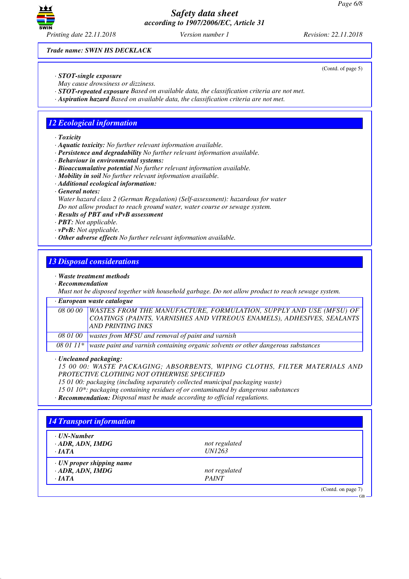

*Trade name: SWIN HS DECKLACK*

- *· STOT-single exposure*
- *May cause drowsiness or dizziness.*
- *· STOT-repeated exposure Based on available data, the classification criteria are not met.*
- *· Aspiration hazard Based on available data, the classification criteria are not met.*

### *12 Ecological information*

*· Toxicity*

- *· Aquatic toxicity: No further relevant information available.*
- *· Persistence and degradability No further relevant information available.*
- *· Behaviour in environmental systems:*
- *· Bioaccumulative potential No further relevant information available.*
- *· Mobility in soil No further relevant information available.*
- *· Additional ecological information:*
- *· General notes:*

*Water hazard class 2 (German Regulation) (Self-assessment): hazardous for water Do not allow product to reach ground water, water course or sewage system.*

- *· Results of PBT and vPvB assessment*
- *· PBT: Not applicable.*
- *· vPvB: Not applicable.*
- *· Other adverse effects No further relevant information available.*

# *13 Disposal considerations*

- *· Waste treatment methods*
- *· Recommendation*

*Must not be disposed together with household garbage. Do not allow product to reach sewage system.*

*· European waste catalogue*

|          | 08 00 00   WASTES FROM THE MANUFACTURE, FORMULATION, SUPPLY AND USE (MFSU) OF |
|----------|-------------------------------------------------------------------------------|
|          | COATINGS (PAINTS, VARNISHES AND VITREOUS ENAMELS), ADHESIVES, SEALANTS        |
|          | <b>AND PRINTING INKS</b>                                                      |
| 08 01 00 | wastes from MFSU and removal of paint and varnish                             |

*08 01 11\* waste paint and varnish containing organic solvents or other dangerous substances*

*· Uncleaned packaging:*

*15 00 00: WASTE PACKAGING; ABSORBENTS, WIPING CLOTHS, FILTER MATERIALS AND PROTECTIVE CLOTHING NOT OTHERWISE SPECIFIED*

*15 01 00: packaging (including separately collected municipal packaging waste)*

*15 01 10\*: packaging containing residues of or contaminated by dangerous substances*

*· Recommendation: Disposal must be made according to official regulations.*

| $\cdot$ UN-Number               |               |  |
|---------------------------------|---------------|--|
| $\cdot$ ADR, ADN, IMDG          | not regulated |  |
| $\cdot$ IATA                    | <i>UN1263</i> |  |
| $\cdot$ UN proper shipping name |               |  |
| $\cdot$ ADR, ADN, IMDG          | not regulated |  |
| $\cdot$ IATA                    | <b>PAINT</b>  |  |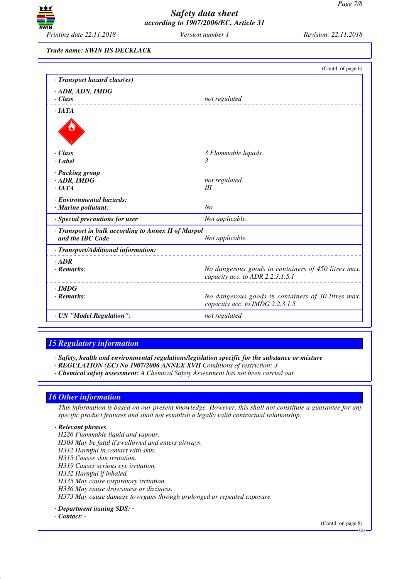

*Trade name: SWIN HS DECKLACK*

|                                                                         | (Contd. of page 6)                                                                      |
|-------------------------------------------------------------------------|-----------------------------------------------------------------------------------------|
| · Transport hazard class(es)                                            |                                                                                         |
| · ADR, ADN, IMDG                                                        |                                                                                         |
| $\cdot$ Class                                                           | not regulated                                                                           |
| $\cdot$ IATA                                                            |                                                                                         |
|                                                                         |                                                                                         |
| · Class                                                                 | 3 Flammable liquids.                                                                    |
| · Label                                                                 | 3                                                                                       |
| · Packing group                                                         |                                                                                         |
| $\cdot$ ADR, IMDG                                                       | not regulated                                                                           |
| $\cdot$ IATA                                                            | Ш                                                                                       |
| · Environmental hazards:                                                |                                                                                         |
| · Marine pollutant:                                                     | N <sub>O</sub>                                                                          |
| · Special precautions for user                                          | Not applicable.                                                                         |
| · Transport in bulk according to Annex II of Marpol<br>and the IBC Code | Not applicable.                                                                         |
| · Transport/Additional information:                                     |                                                                                         |
| $.$ ADR                                                                 |                                                                                         |
| $\cdot$ Remarks:                                                        | No dangerous goods in containers of 450 litres max.<br>capacity acc. to ADR 2.2.3.1.5.1 |
| $\cdot$ IMDG                                                            |                                                                                         |
| $\cdot$ Remarks:                                                        | No dangerous goods in containers of 30 litres max.<br>capacitiy acc. to IMDG 2.2.3.1.5  |
| · UN "Model Regulation":                                                | not regulated                                                                           |

# *15 Regulatory information*

*· Safety, health and environmental regulations/legislation specific for the substance or mixture*

- *· REGULATION (EC) No 1907/2006 ANNEX XVII Conditions of restriction: 3*
- *· Chemical safety assessment: A Chemical Safety Assessment has not been carried out.*

### *16 Other information*

*This information is based on our present knowledge. However, this shall not constitute a guarantee for any specific product features and shall not establish a legally valid contractual relationship.*

#### *· Relevant phrases*

- *H226 Flammable liquid and vapour.*
- *H304 May be fatal if swallowed and enters airways.*
- *H312 Harmful in contact with skin.*
- *H315 Causes skin irritation.*
- *H319 Causes serious eye irritation.*
- *H332 Harmful if inhaled.*
- *H335 May cause respiratory irritation.*
- *H336 May cause drowsiness or dizziness.*

*H373 May cause damage to organs through prolonged or repeated exposure.*

*· Department issuing SDS: -* 

#### *· Contact: -*

(Contd. on page 8)

GB